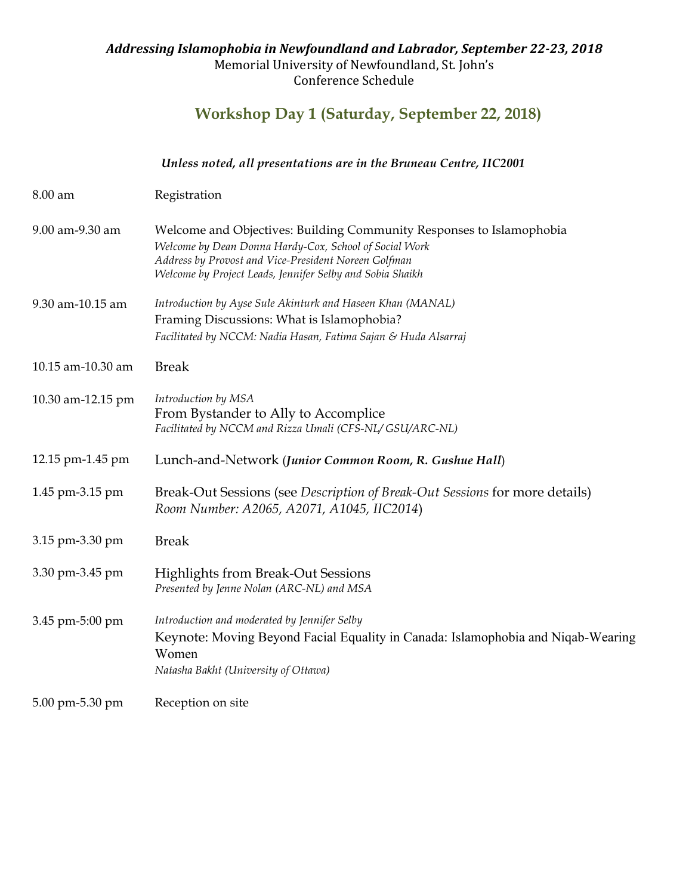## Addressing Islamophobia in Newfoundland and Labrador, September 22-23, 2018 Memorial University of Newfoundland, St. John's Conference Schedule

# **Workshop Day 1 (Saturday, September 22, 2018)**

|                   | Unless noted, all presentations are in the Bruneau Centre, IIC2001                                                                                                                                                                                  |
|-------------------|-----------------------------------------------------------------------------------------------------------------------------------------------------------------------------------------------------------------------------------------------------|
| $8.00 \text{ am}$ | Registration                                                                                                                                                                                                                                        |
| 9.00 am-9.30 am   | Welcome and Objectives: Building Community Responses to Islamophobia<br>Welcome by Dean Donna Hardy-Cox, School of Social Work<br>Address by Provost and Vice-President Noreen Golfman<br>Welcome by Project Leads, Jennifer Selby and Sobia Shaikh |
| 9.30 am-10.15 am  | Introduction by Ayse Sule Akinturk and Haseen Khan (MANAL)<br>Framing Discussions: What is Islamophobia?<br>Facilitated by NCCM: Nadia Hasan, Fatima Sajan & Huda Alsarraj                                                                          |
| 10.15 am-10.30 am | <b>Break</b>                                                                                                                                                                                                                                        |
| 10.30 am-12.15 pm | Introduction by MSA<br>From Bystander to Ally to Accomplice<br>Facilitated by NCCM and Rizza Umali (CFS-NL/GSU/ARC-NL)                                                                                                                              |
| 12.15 pm-1.45 pm  | Lunch-and-Network (Junior Common Room, R. Gushue Hall)                                                                                                                                                                                              |
| 1.45 pm-3.15 pm   | Break-Out Sessions (see Description of Break-Out Sessions for more details)<br>Room Number: A2065, A2071, A1045, IIC2014)                                                                                                                           |
| 3.15 pm-3.30 pm   | <b>Break</b>                                                                                                                                                                                                                                        |
| 3.30 pm-3.45 pm   | <b>Highlights from Break-Out Sessions</b><br>Presented by Jenne Nolan (ARC-NL) and MSA                                                                                                                                                              |
| 3.45 pm-5:00 pm   | Introduction and moderated by Jennifer Selby<br>Keynote: Moving Beyond Facial Equality in Canada: Islamophobia and Niqab-Wearing<br>Women<br>Natasha Bakht (University of Ottawa)                                                                   |
| 5.00 pm-5.30 pm   | Reception on site                                                                                                                                                                                                                                   |